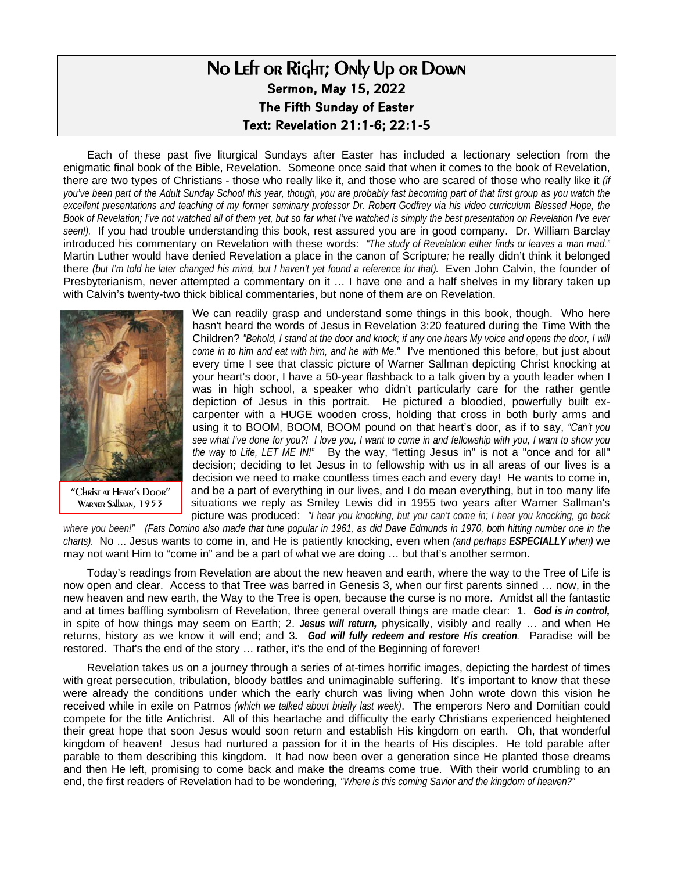## No Left or Right; Only Up or Down **Sermon, May 15, 2022 The Fifth Sunday of Easter Text: Revelation 21:1-6; 22:1-5**

Each of these past five liturgical Sundays after Easter has included a lectionary selection from the enigmatic final book of the Bible, Revelation. Someone once said that when it comes to the book of Revelation, there are two types of Christians - those who really like it, and those who are scared of those who really like it *(if you've been part of the Adult Sunday School this year, though, you are probably fast becoming part of that first group as you watch the*  excellent presentations and teaching of my former seminary professor Dr. Robert Godfrey via his video curriculum Blessed Hope, the *Book of Revelation; I've not watched all of them yet, but so far what I've watched is simply the best presentation on Revelation I've ever seen!).* If you had trouble understanding this book, rest assured you are in good company. Dr. William Barclay introduced his commentary on Revelation with these words: *"The study of Revelation either finds or leaves a man mad."*  Martin Luther would have denied Revelation a place in the canon of Scripture*;* he really didn't think it belonged there *(but I'm told he later changed his mind, but I haven't yet found a reference for that)*. Even John Calvin, the founder of Presbyterianism, never attempted a commentary on it … I have one and a half shelves in my library taken up with Calvin's twenty-two thick biblical commentaries, but none of them are on Revelation.



"Christ at Heart's Door" WARNER SAllman, 1953

We can readily grasp and understand some things in this book, though. Who here hasn't heard the words of Jesus in Revelation 3:20 featured during the Time With the Children? *"Behold, I stand at the door and knock; if any one hears My voice and opens the door, I will come in to him and eat with him, and he with Me."* I've mentioned this before, but just about every time I see that classic picture of Warner Sallman depicting Christ knocking at your heart's door, I have a 50-year flashback to a talk given by a youth leader when I was in high school, a speaker who didn't particularly care for the rather gentle depiction of Jesus in this portrait. He pictured a bloodied, powerfully built excarpenter with a HUGE wooden cross, holding that cross in both burly arms and using it to BOOM, BOOM, BOOM pound on that heart's door, as if to say, *"Can't you see what I've done for you?! I love you, I want to come in and fellowship with you, I want to show you the way to Life, LET ME IN!"* By the way, "letting Jesus in" is not a "once and for all" decision; deciding to let Jesus in to fellowship with us in all areas of our lives is a decision we need to make countless times each and every day! He wants to come in, and be a part of everything in our lives, and I do mean everything, but in too many life situations we reply as Smiley Lewis did in 1955 two years after Warner Sallman's picture was produced: *"I hear you knocking, but you can't come in; I hear you knocking, go back* 

*where you been!" (Fats Domino also made that tune popular in 1961, as did Dave Edmunds in 1970, both hitting number one in the charts).* No ... Jesus wants to come in, and He is patiently knocking, even when *(and perhaps ESPECIALLY when)* we may not want Him to "come in" and be a part of what we are doing … but that's another sermon.

Today's readings from Revelation are about the new heaven and earth, where the way to the Tree of Life is now open and clear. Access to that Tree was barred in Genesis 3, when our first parents sinned … now, in the new heaven and new earth, the Way to the Tree is open, because the curse is no more. Amidst all the fantastic and at times baffling symbolism of Revelation, three general overall things are made clear: 1. *God is in control,* in spite of how things may seem on Earth; 2. *Jesus will return,* physically, visibly and really … and when He returns, history as we know it will end; and 3*. God will fully redeem and restore His creation.* Paradise will be restored. That's the end of the story … rather, it's the end of the Beginning of forever!

Revelation takes us on a journey through a series of at-times horrific images, depicting the hardest of times with great persecution, tribulation, bloody battles and unimaginable suffering. It's important to know that these were already the conditions under which the early church was living when John wrote down this vision he received while in exile on Patmos *(which we talked about briefly last week)*. The emperors Nero and Domitian could compete for the title Antichrist. All of this heartache and difficulty the early Christians experienced heightened their great hope that soon Jesus would soon return and establish His kingdom on earth. Oh, that wonderful kingdom of heaven! Jesus had nurtured a passion for it in the hearts of His disciples. He told parable after parable to them describing this kingdom. It had now been over a generation since He planted those dreams and then He left, promising to come back and make the dreams come true. With their world crumbling to an end, the first readers of Revelation had to be wondering, *"Where is this coming Savior and the kingdom of heaven?"*